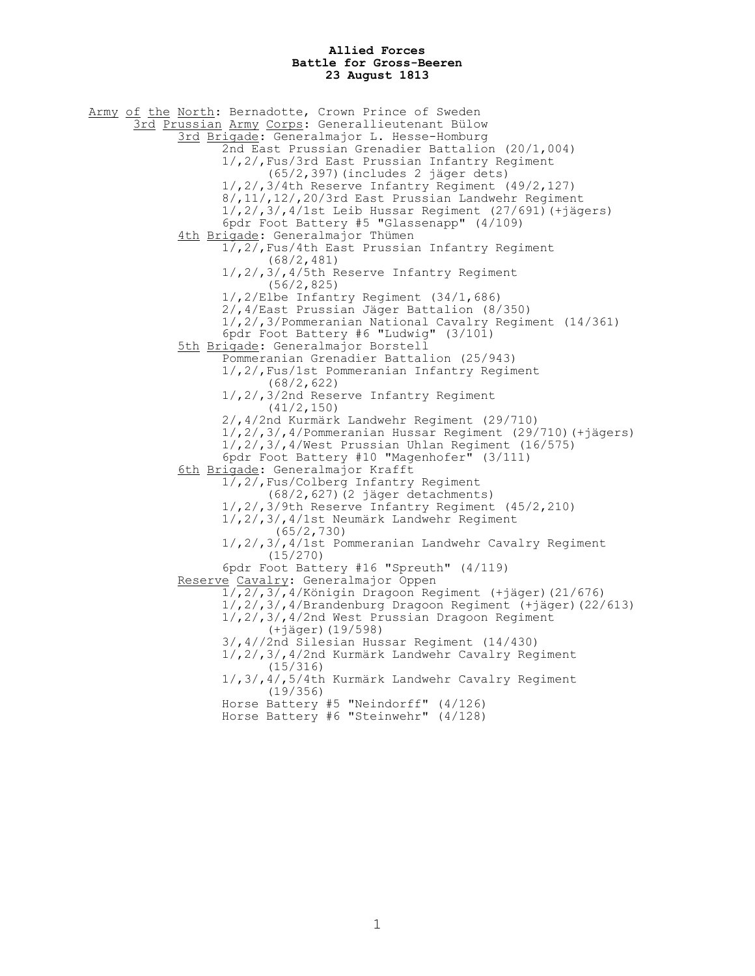## **Allied Forces Battle for Gross-Beeren 23 August 1813**

Army of the North: Bernadotte, Crown Prince of Sweden 3rd Prussian Army Corps: Generallieutenant Bülow 3rd Brigade: Generalmajor L. Hesse-Homburg 2nd East Prussian Grenadier Battalion (20/1,004) 1/,2/,Fus/3rd East Prussian Infantry Regiment (65/2,397)(includes 2 jäger dets) 1/,2/,3/4th Reserve Infantry Regiment (49/2,127) 8/,11/,12/,20/3rd East Prussian Landwehr Regiment 1/,2/,3/,4/1st Leib Hussar Regiment (27/691)(+jägers) 6pdr Foot Battery #5 "Glassenapp" (4/109) 4th Brigade: Generalmajor Thümen 1/,2/,Fus/4th East Prussian Infantry Regiment (68/2,481) 1/,2/,3/,4/5th Reserve Infantry Regiment (56/2,825) 1/,2/Elbe Infantry Regiment (34/1,686) 2/,4/East Prussian Jäger Battalion (8/350) 1/,2/,3/Pommeranian National Cavalry Regiment (14/361) 6pdr Foot Battery #6 "Ludwig" (3/101) 5th Brigade: Generalmajor Borstell Pommeranian Grenadier Battalion (25/943) 1/,2/,Fus/1st Pommeranian Infantry Regiment (68/2,622) 1/,2/,3/2nd Reserve Infantry Regiment (41/2,150) 2/,4/2nd Kurmärk Landwehr Regiment (29/710) 1/,2/,3/,4/Pommeranian Hussar Regiment (29/710)(+jägers)  $1/$ ,  $2/$ ,  $3/$ ,  $4$ /West Prussian Uhlan Regiment (16/575) 6pdr Foot Battery #10 "Magenhofer" (3/111) 6th Brigade: Generalmajor Krafft 1/,2/,Fus/Colberg Infantry Regiment (68/2,627)(2 jäger detachments) 1/,2/,3/9th Reserve Infantry Regiment (45/2,210) 1/,2/,3/,4/1st Neumärk Landwehr Regiment (65/2,730) 1/,2/,3/,4/1st Pommeranian Landwehr Cavalry Regiment (15/270) 6pdr Foot Battery #16 "Spreuth" (4/119) Reserve Cavalry: Generalmajor Oppen 1/,2/,3/,4/Königin Dragoon Regiment (+jäger)(21/676) 1/,2/,3/,4/Brandenburg Dragoon Regiment (+jäger)(22/613) 1/,2/,3/,4/2nd West Prussian Dragoon Regiment (+jäger)(19/598) 3/,4//2nd Silesian Hussar Regiment (14/430) 1/,2/,3/,4/2nd Kurmärk Landwehr Cavalry Regiment (15/316) 1/,3/,4/,5/4th Kurmärk Landwehr Cavalry Regiment (19/356) Horse Battery #5 "Neindorff" (4/126) Horse Battery #6 "Steinwehr" (4/128)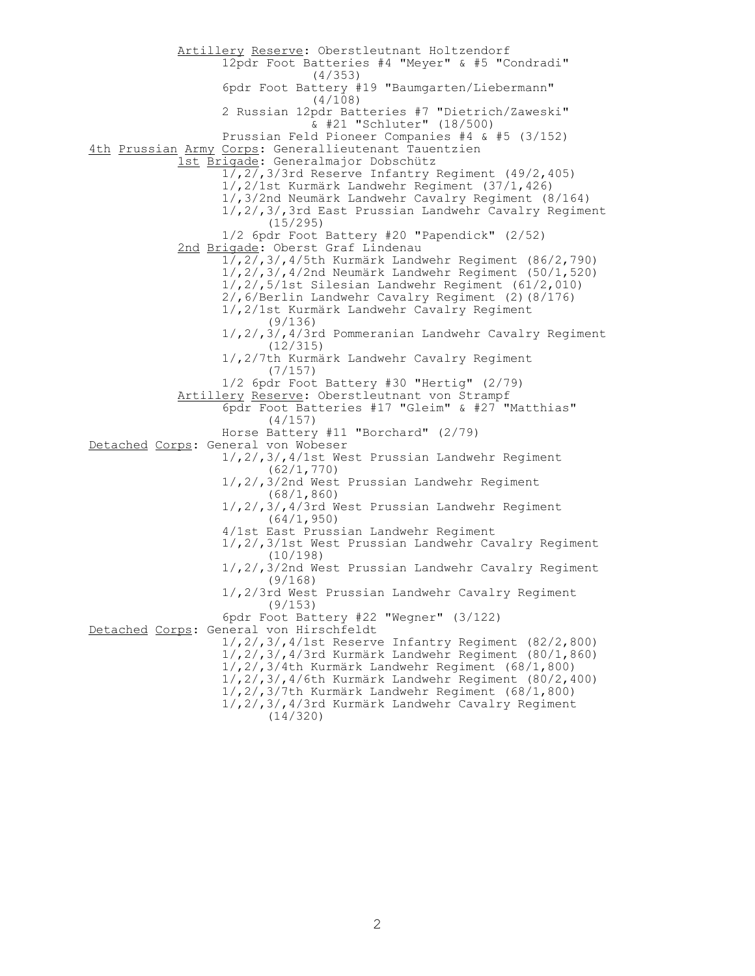Artillery Reserve: Oberstleutnant Holtzendorf 12pdr Foot Batteries #4 "Meyer" & #5 "Condradi" (4/353) 6pdr Foot Battery #19 "Baumgarten/Liebermann" (4/108) 2 Russian 12pdr Batteries #7 "Dietrich/Zaweski" & #21 "Schluter" (18/500) Prussian Feld Pioneer Companies #4 & #5 (3/152) 4th Prussian Army Corps: Generallieutenant Tauentzien 1st Brigade: Generalmajor Dobschütz 1/,2/,3/3rd Reserve Infantry Regiment (49/2,405) 1/,2/1st Kurmärk Landwehr Regiment (37/1,426) 1/,3/2nd Neumärk Landwehr Cavalry Regiment (8/164) 1/,2/,3/,3rd East Prussian Landwehr Cavalry Regiment (15/295) 1/2 6pdr Foot Battery #20 "Papendick" (2/52) 2nd Brigade: Oberst Graf Lindenau 1/,2/,3/,4/5th Kurmärk Landwehr Regiment (86/2,790) 1/,2/,3/,4/2nd Neumärk Landwehr Regiment (50/1,520) 1/,2/,5/1st Silesian Landwehr Regiment (61/2,010) 2/,6/Berlin Landwehr Cavalry Regiment (2)(8/176) 1/,2/1st Kurmärk Landwehr Cavalry Regiment (9/136) 1/,2/,3/,4/3rd Pommeranian Landwehr Cavalry Regiment (12/315) 1/,2/7th Kurmärk Landwehr Cavalry Regiment (7/157) 1/2 6pdr Foot Battery #30 "Hertig" (2/79) Artillery Reserve: Oberstleutnant von Strampf 6pdr Foot Batteries #17 "Gleim" & #27 "Matthias" (4/157) Horse Battery #11 "Borchard" (2/79) Detached Corps: General von Wobeser 1/,2/,3/,4/1st West Prussian Landwehr Regiment (62/1,770) 1/,2/,3/2nd West Prussian Landwehr Regiment (68/1,860) 1/,2/,3/,4/3rd West Prussian Landwehr Regiment (64/1,950) 4/1st East Prussian Landwehr Regiment 1/,2/,3/1st West Prussian Landwehr Cavalry Regiment (10/198) 1/,2/,3/2nd West Prussian Landwehr Cavalry Regiment (9/168) 1/,2/3rd West Prussian Landwehr Cavalry Regiment (9/153) 6pdr Foot Battery #22 "Wegner" (3/122) Detached Corps: General von Hirschfeldt 1/,2/,3/,4/1st Reserve Infantry Regiment (82/2,800) 1/,2/,3/,4/3rd Kurmärk Landwehr Regiment (80/1,860) 1/,2/,3/4th Kurmärk Landwehr Regiment (68/1,800) 1/,2/,3/,4/6th Kurmärk Landwehr Regiment (80/2,400) 1/,2/,3/7th Kurmärk Landwehr Regiment (68/1,800) 1/,2/,3/,4/3rd Kurmärk Landwehr Cavalry Regiment (14/320)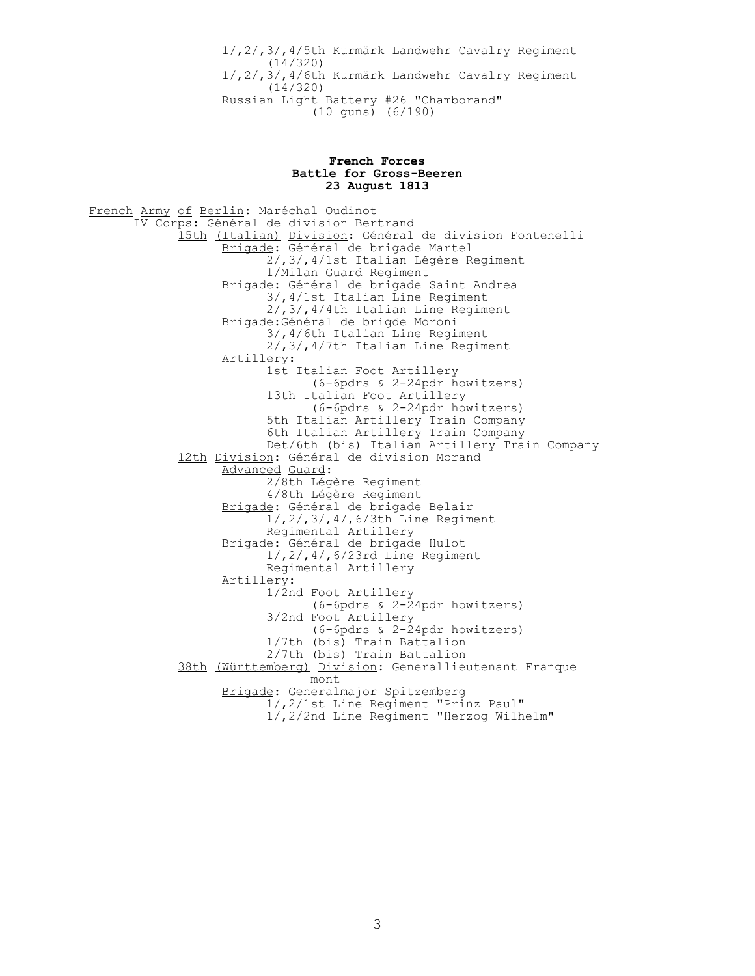1/,2/,3/,4/5th Kurmärk Landwehr Cavalry Regiment (14/320) 1/,2/,3/,4/6th Kurmärk Landwehr Cavalry Regiment (14/320) Russian Light Battery #26 "Chamborand" (10 guns) (6/190)

## **French Forces Battle for Gross-Beeren 23 August 1813**

French Army of Berlin: Maréchal Oudinot IV Corps: Général de division Bertrand 15th (Italian) Division: Général de division Fontenelli Brigade: Général de brigade Martel 2/,3/,4/1st Italian Légère Regiment 1/Milan Guard Regiment Brigade: Général de brigade Saint Andrea 3/,4/1st Italian Line Regiment 2/,3/,4/4th Italian Line Regiment Brigade:Général de brigde Moroni 3/,4/6th Italian Line Regiment 2/,3/,4/7th Italian Line Regiment Artillery: 1st Italian Foot Artillery (6-6pdrs & 2-24pdr howitzers) 13th Italian Foot Artillery (6-6pdrs & 2-24pdr howitzers) 5th Italian Artillery Train Company 6th Italian Artillery Train Company Det/6th (bis) Italian Artillery Train Company 12th Division: Général de division Morand Advanced Guard: 2/8th Légère Regiment 4/8th Légère Regiment Brigade: Général de brigade Belair 1/,2/,3/,4/,6/3th Line Regiment Regimental Artillery Brigade: Général de brigade Hulot 1/,2/,4/,6/23rd Line Regiment Regimental Artillery Artillery: 1/2nd Foot Artillery (6-6pdrs & 2-24pdr howitzers) 3/2nd Foot Artillery (6-6pdrs & 2-24pdr howitzers) 1/7th (bis) Train Battalion 2/7th (bis) Train Battalion 38th (Württemberg) Division: Generallieutenant Franque mont Brigade: Generalmajor Spitzemberg 1/,2/1st Line Regiment "Prinz Paul" 1/,2/2nd Line Regiment "Herzog Wilhelm"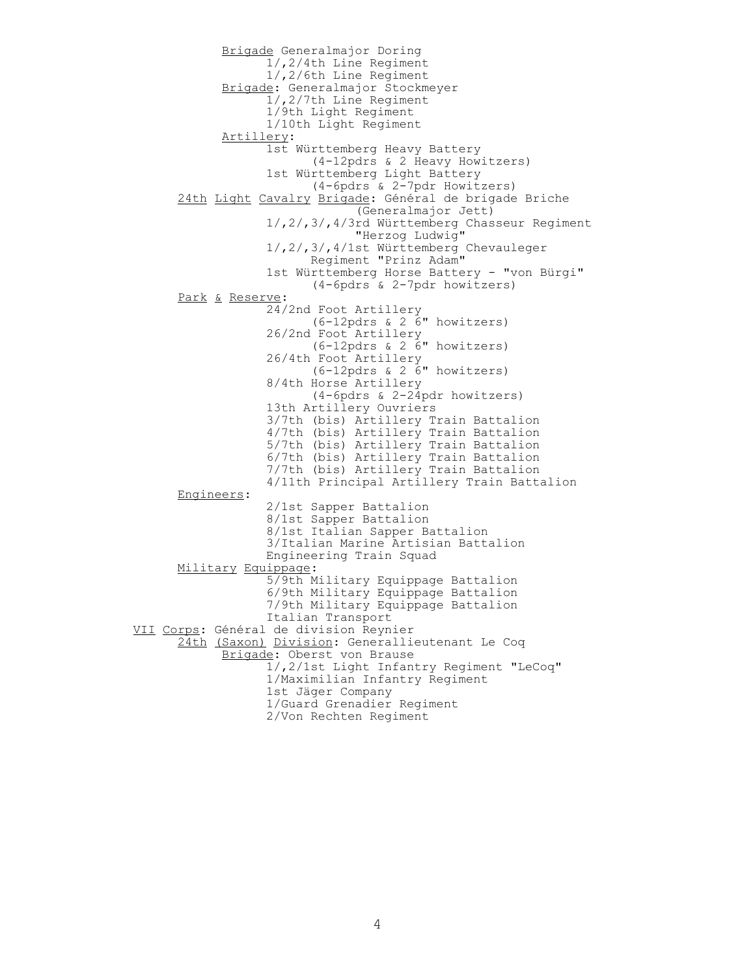Brigade Generalmajor Doring 1/,2/4th Line Regiment 1/,2/6th Line Regiment Brigade: Generalmajor Stockmeyer 1/,2/7th Line Regiment 1/9th Light Regiment 1/10th Light Regiment Artillery: 1st Württemberg Heavy Battery (4-12pdrs & 2 Heavy Howitzers) 1st Württemberg Light Battery (4-6pdrs & 2-7pdr Howitzers) 24th Light Cavalry Brigade: Général de brigade Briche (Generalmajor Jett) 1/,2/,3/,4/3rd Württemberg Chasseur Regiment "Herzog Ludwig" 1/,2/,3/,4/1st Württemberg Chevauleger Regiment "Prinz Adam" 1st Württemberg Horse Battery - "von Bürgi" (4-6pdrs & 2-7pdr howitzers) Park & Reserve: 24/2nd Foot Artillery (6-12pdrs & 2 6" howitzers) 26/2nd Foot Artillery (6-12pdrs & 2 6" howitzers) 26/4th Foot Artillery (6-12pdrs & 2 6" howitzers) 8/4th Horse Artillery (4-6pdrs & 2-24pdr howitzers) 13th Artillery Ouvriers 3/7th (bis) Artillery Train Battalion 4/7th (bis) Artillery Train Battalion 5/7th (bis) Artillery Train Battalion 6/7th (bis) Artillery Train Battalion 7/7th (bis) Artillery Train Battalion 4/11th Principal Artillery Train Battalion Engineers: 2/1st Sapper Battalion 8/1st Sapper Battalion 8/1st Italian Sapper Battalion 3/Italian Marine Artisian Battalion Engineering Train Squad Military Equippage: 5/9th Military Equippage Battalion 6/9th Military Equippage Battalion 7/9th Military Equippage Battalion Italian Transport VII Corps: Général de division Reynier 24th (Saxon) Division: Generallieutenant Le Coq Brigade: Oberst von Brause 1/,2/1st Light Infantry Regiment "LeCoq" 1/Maximilian Infantry Regiment 1st Jäger Company 1/Guard Grenadier Regiment 2/Von Rechten Regiment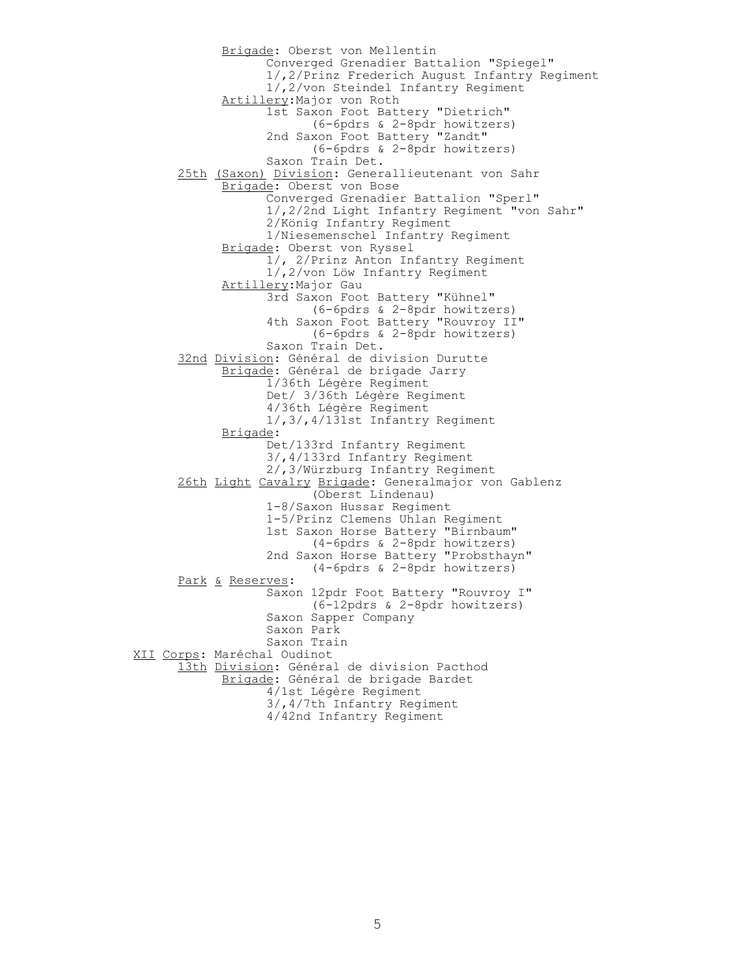Brigade: Oberst von Mellentin Converged Grenadier Battalion "Spiegel" 1/,2/Prinz Frederich August Infantry Regiment 1/,2/von Steindel Infantry Regiment Artillery:Major von Roth 1st Saxon Foot Battery "Dietrich" (6-6pdrs & 2-8pdr howitzers) 2nd Saxon Foot Battery "Zandt" (6-6pdrs & 2-8pdr howitzers) Saxon Train Det. 25th (Saxon) Division: Generallieutenant von Sahr Brigade: Oberst von Bose Converged Grenadier Battalion "Sperl" 1/,2/2nd Light Infantry Regiment "von Sahr" 2/König Infantry Regiment 1/Niesemenschel Infantry Regiment Brigade: Oberst von Ryssel 1/, 2/Prinz Anton Infantry Regiment 1/,2/von Löw Infantry Regiment Artillery:Major Gau 3rd Saxon Foot Battery "Kühnel" (6-6pdrs & 2-8pdr howitzers) 4th Saxon Foot Battery "Rouvroy II" (6-6pdrs & 2-8pdr howitzers) Saxon Train Det. 32nd Division: Général de division Durutte Brigade: Général de brigade Jarry 1/36th Légère Regiment Det/ 3/36th Légère Regiment 4/36th Légère Regiment 1/,3/,4/131st Infantry Regiment Brigade: Det/133rd Infantry Regiment 3/,4/133rd Infantry Regiment 2/,3/Würzburg Infantry Regiment 26th Light Cavalry Brigade: Generalmajor von Gablenz (Oberst Lindenau) 1-8/Saxon Hussar Regiment 1-5/Prinz Clemens Uhlan Regiment 1st Saxon Horse Battery "Birnbaum" (4-6pdrs & 2-8pdr howitzers) 2nd Saxon Horse Battery "Probsthayn" (4-6pdrs & 2-8pdr howitzers) Park & Reserves: Saxon 12pdr Foot Battery "Rouvroy I" (6-12pdrs & 2-8pdr howitzers) Saxon Sapper Company Saxon Park Saxon Train XII Corps: Maréchal Oudinot 13th Division: Général de division Pacthod Brigade: Général de brigade Bardet 4/1st Légère Regiment 3/,4/7th Infantry Regiment 4/42nd Infantry Regiment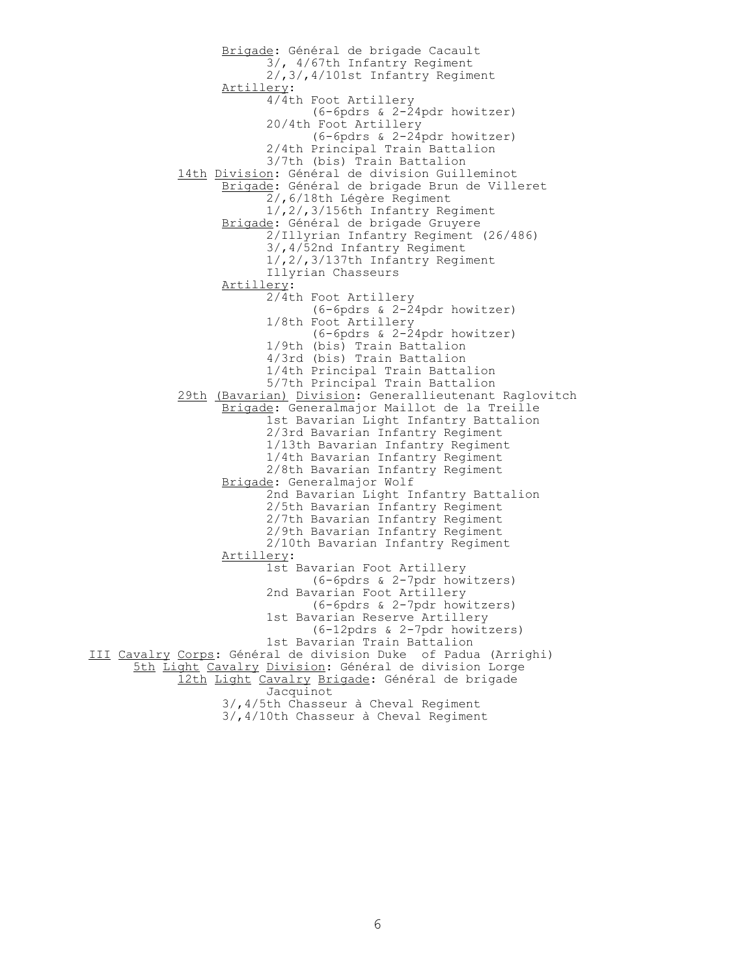Brigade: Général de brigade Cacault 3/, 4/67th Infantry Regiment 2/,3/,4/101st Infantry Regiment Artillery: 4/4th Foot Artillery (6-6pdrs & 2-24pdr howitzer) 20/4th Foot Artillery (6-6pdrs & 2-24pdr howitzer) 2/4th Principal Train Battalion 3/7th (bis) Train Battalion 14th Division: Général de division Guilleminot Brigade: Général de brigade Brun de Villeret 2/,6/18th Légère Regiment 1/,2/,3/156th Infantry Regiment Brigade: Général de brigade Gruyere 2/Illyrian Infantry Regiment (26/486) 3/,4/52nd Infantry Regiment 1/,2/,3/137th Infantry Regiment Illyrian Chasseurs Artillery: 2/4th Foot Artillery (6-6pdrs & 2-24pdr howitzer) 1/8th Foot Artillery (6-6pdrs & 2-24pdr howitzer) 1/9th (bis) Train Battalion 4/3rd (bis) Train Battalion 1/4th Principal Train Battalion 5/7th Principal Train Battalion 29th (Bavarian) Division: Generallieutenant Raglovitch Brigade: Generalmajor Maillot de la Treille 1st Bavarian Light Infantry Battalion 2/3rd Bavarian Infantry Regiment 1/13th Bavarian Infantry Regiment 1/4th Bavarian Infantry Regiment 2/8th Bavarian Infantry Regiment Brigade: Generalmajor Wolf 2nd Bavarian Light Infantry Battalion 2/5th Bavarian Infantry Regiment 2/7th Bavarian Infantry Regiment 2/9th Bavarian Infantry Regiment 2/10th Bavarian Infantry Regiment Artillery: 1st Bavarian Foot Artillery (6-6pdrs & 2-7pdr howitzers) 2nd Bavarian Foot Artillery (6-6pdrs & 2-7pdr howitzers) 1st Bavarian Reserve Artillery (6-12pdrs & 2-7pdr howitzers) 1st Bavarian Train Battalion III Cavalry Corps: Général de division Duke of Padua (Arrighi) 5th Light Cavalry Division: Général de division Lorge 12th Light Cavalry Brigade: Général de brigade Jacquinot 3/,4/5th Chasseur à Cheval Regiment 3/,4/10th Chasseur à Cheval Regiment